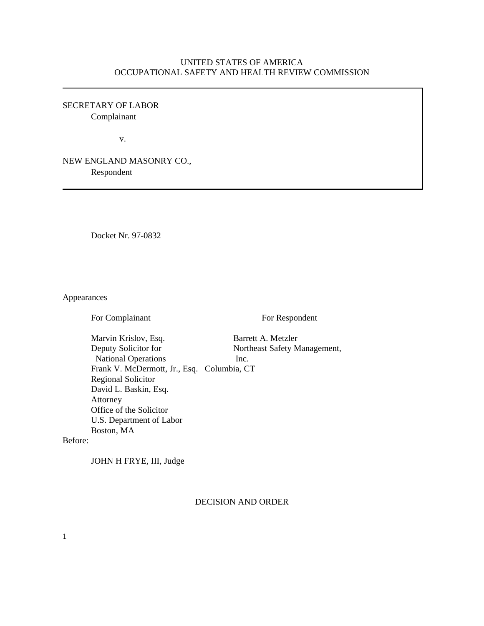# UNITED STATES OF AMERICA OCCUPATIONAL SAFETY AND HEALTH REVIEW COMMISSION

SECRETARY OF LABOR Complainant

v.

NEW ENGLAND MASONRY CO., Respondent

Docket Nr. 97-0832

Appearances

For Complainant For Respondent

Marvin Krislov, Esq. Barrett A. Metzler Deputy Solicitor for Northeast Safety Management, National Operations Inc. Frank V. McDermott, Jr., Esq. Columbia, CT Regional Solicitor David L. Baskin, Esq. Attorney Office of the Solicitor U.S. Department of Labor Boston, MA

Before:

JOHN H FRYE, III, Judge

DECISION AND ORDER

1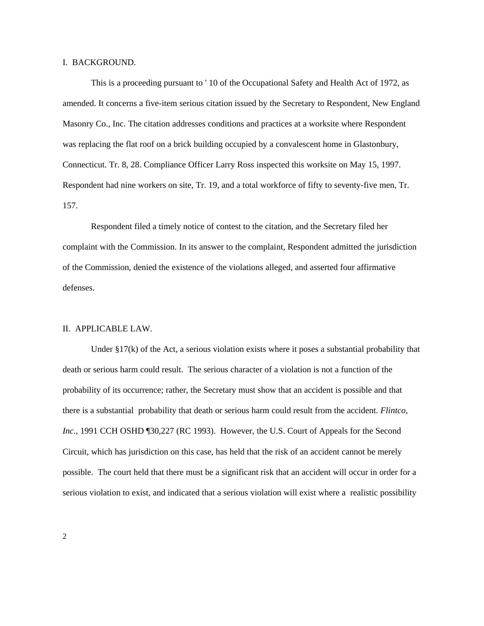#### I. BACKGROUND.

This is a proceeding pursuant to ' 10 of the Occupational Safety and Health Act of 1972, as amended. It concerns a five-item serious citation issued by the Secretary to Respondent, New England Masonry Co., Inc. The citation addresses conditions and practices at a worksite where Respondent was replacing the flat roof on a brick building occupied by a convalescent home in Glastonbury, Connecticut. Tr. 8, 28. Compliance Officer Larry Ross inspected this worksite on May 15, 1997. Respondent had nine workers on site, Tr. 19, and a total workforce of fifty to seventy-five men, Tr. 157.

Respondent filed a timely notice of contest to the citation, and the Secretary filed her complaint with the Commission. In its answer to the complaint, Respondent admitted the jurisdiction of the Commission, denied the existence of the violations alleged, and asserted four affirmative defenses.

### II. APPLICABLE LAW.

Under §17(k) of the Act, a serious violation exists where it poses a substantial probability that death or serious harm could result. The serious character of a violation is not a function of the probability of its occurrence; rather, the Secretary must show that an accident is possible and that there is a substantial probability that death or serious harm could result from the accident. *Flintco, Inc*., 1991 CCH OSHD ¶30,227 (RC 1993). However, the U.S. Court of Appeals for the Second Circuit, which has jurisdiction on this case, has held that the risk of an accident cannot be merely possible. The court held that there must be a significant risk that an accident will occur in order for a serious violation to exist, and indicated that a serious violation will exist where a realistic possibility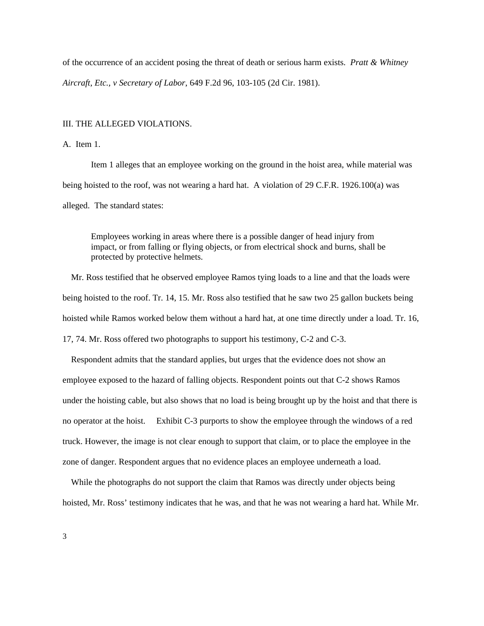of the occurrence of an accident posing the threat of death or serious harm exists. *Pratt & Whitney Aircraft, Etc., v Secretary of Labor*, 649 F.2d 96, 103-105 (2d Cir. 1981).

#### III. THE ALLEGED VIOLATIONS.

### A. Item 1.

Item 1 alleges that an employee working on the ground in the hoist area, while material was being hoisted to the roof, was not wearing a hard hat. A violation of 29 C.F.R. 1926.100(a) was alleged. The standard states:

Employees working in areas where there is a possible danger of head injury from impact, or from falling or flying objects, or from electrical shock and burns, shall be protected by protective helmets.

Mr. Ross testified that he observed employee Ramos tying loads to a line and that the loads were being hoisted to the roof. Tr. 14, 15. Mr. Ross also testified that he saw two 25 gallon buckets being hoisted while Ramos worked below them without a hard hat, at one time directly under a load. Tr. 16, 17, 74. Mr. Ross offered two photographs to support his testimony, C-2 and C-3.

Respondent admits that the standard applies, but urges that the evidence does not show an employee exposed to the hazard of falling objects. Respondent points out that C-2 shows Ramos under the hoisting cable, but also shows that no load is being brought up by the hoist and that there is no operator at the hoist. Exhibit C-3 purports to show the employee through the windows of a red truck. However, the image is not clear enough to support that claim, or to place the employee in the zone of danger. Respondent argues that no evidence places an employee underneath a load.

While the photographs do not support the claim that Ramos was directly under objects being hoisted, Mr. Ross' testimony indicates that he was, and that he was not wearing a hard hat. While Mr.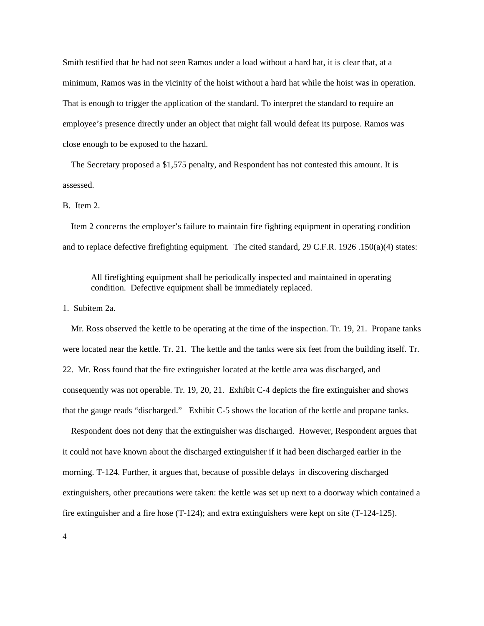Smith testified that he had not seen Ramos under a load without a hard hat, it is clear that, at a minimum, Ramos was in the vicinity of the hoist without a hard hat while the hoist was in operation. That is enough to trigger the application of the standard. To interpret the standard to require an employee's presence directly under an object that might fall would defeat its purpose. Ramos was close enough to be exposed to the hazard.

The Secretary proposed a \$1,575 penalty, and Respondent has not contested this amount. It is assessed.

### B. Item 2.

Item 2 concerns the employer's failure to maintain fire fighting equipment in operating condition and to replace defective firefighting equipment. The cited standard, 29 C.F.R. 1926 .150(a)(4) states:

All firefighting equipment shall be periodically inspected and maintained in operating condition. Defective equipment shall be immediately replaced.

# 1. Subitem 2a.

Mr. Ross observed the kettle to be operating at the time of the inspection. Tr. 19, 21. Propane tanks were located near the kettle. Tr. 21. The kettle and the tanks were six feet from the building itself. Tr. 22. Mr. Ross found that the fire extinguisher located at the kettle area was discharged, and consequently was not operable. Tr. 19, 20, 21. Exhibit C-4 depicts the fire extinguisher and shows that the gauge reads "discharged." Exhibit C-5 shows the location of the kettle and propane tanks.

Respondent does not deny that the extinguisher was discharged. However, Respondent argues that it could not have known about the discharged extinguisher if it had been discharged earlier in the morning. T-124. Further, it argues that, because of possible delays in discovering discharged extinguishers, other precautions were taken: the kettle was set up next to a doorway which contained a fire extinguisher and a fire hose (T-124); and extra extinguishers were kept on site (T-124-125).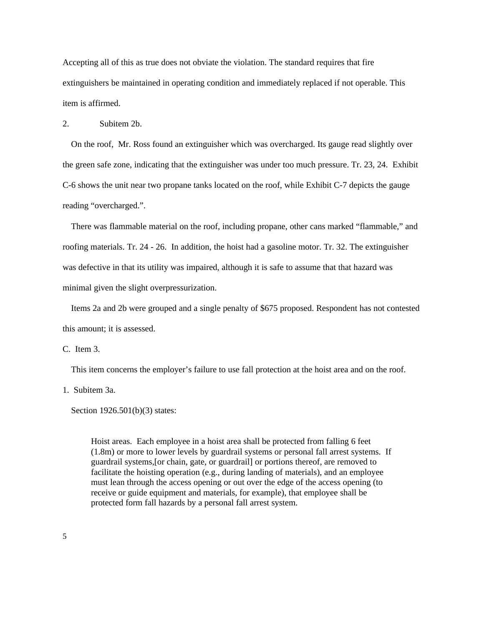Accepting all of this as true does not obviate the violation. The standard requires that fire extinguishers be maintained in operating condition and immediately replaced if not operable. This item is affirmed.

# 2. Subitem 2b.

On the roof, Mr. Ross found an extinguisher which was overcharged. Its gauge read slightly over the green safe zone, indicating that the extinguisher was under too much pressure. Tr. 23, 24. Exhibit C-6 shows the unit near two propane tanks located on the roof, while Exhibit C-7 depicts the gauge reading "overcharged.".

There was flammable material on the roof, including propane, other cans marked "flammable," and roofing materials. Tr. 24 - 26. In addition, the hoist had a gasoline motor. Tr. 32. The extinguisher was defective in that its utility was impaired, although it is safe to assume that that hazard was minimal given the slight overpressurization.

Items 2a and 2b were grouped and a single penalty of \$675 proposed. Respondent has not contested this amount; it is assessed.

C. Item 3.

This item concerns the employer's failure to use fall protection at the hoist area and on the roof.

1. Subitem 3a.

Section 1926.501(b)(3) states:

Hoist areas. Each employee in a hoist area shall be protected from falling 6 feet (1.8m) or more to lower levels by guardrail systems or personal fall arrest systems. If guardrail systems,[or chain, gate, or guardrail] or portions thereof, are removed to facilitate the hoisting operation (e.g., during landing of materials), and an employee must lean through the access opening or out over the edge of the access opening (to receive or guide equipment and materials, for example), that employee shall be protected form fall hazards by a personal fall arrest system.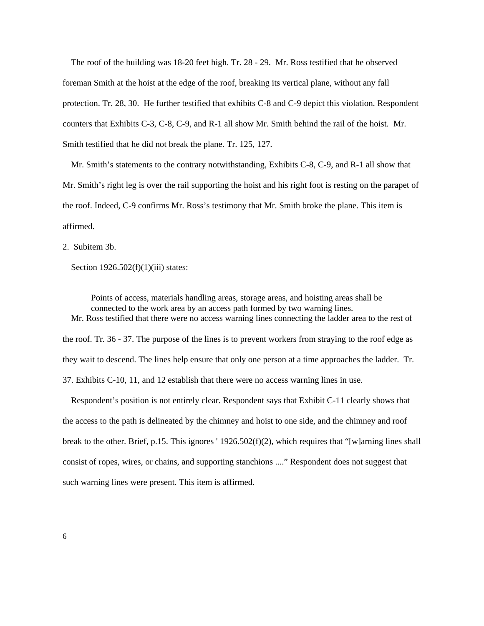The roof of the building was 18-20 feet high. Tr. 28 - 29. Mr. Ross testified that he observed foreman Smith at the hoist at the edge of the roof, breaking its vertical plane, without any fall protection. Tr. 28, 30. He further testified that exhibits C-8 and C-9 depict this violation. Respondent counters that Exhibits C-3, C-8, C-9, and R-1 all show Mr. Smith behind the rail of the hoist. Mr. Smith testified that he did not break the plane. Tr. 125, 127.

Mr. Smith's statements to the contrary notwithstanding, Exhibits C-8, C-9, and R-1 all show that Mr. Smith's right leg is over the rail supporting the hoist and his right foot is resting on the parapet of the roof. Indeed, C-9 confirms Mr. Ross's testimony that Mr. Smith broke the plane. This item is affirmed.

2. Subitem 3b.

Section 1926.502(f)(1)(iii) states:

Points of access, materials handling areas, storage areas, and hoisting areas shall be connected to the work area by an access path formed by two warning lines. Mr. Ross testified that there were no access warning lines connecting the ladder area to the rest of the roof. Tr. 36 - 37. The purpose of the lines is to prevent workers from straying to the roof edge as they wait to descend. The lines help ensure that only one person at a time approaches the ladder. Tr. 37. Exhibits C-10, 11, and 12 establish that there were no access warning lines in use.

Respondent's position is not entirely clear. Respondent says that Exhibit C-11 clearly shows that the access to the path is delineated by the chimney and hoist to one side, and the chimney and roof break to the other. Brief, p.15. This ignores '  $1926.502(f)(2)$ , which requires that "[w]arning lines shall consist of ropes, wires, or chains, and supporting stanchions ...." Respondent does not suggest that such warning lines were present. This item is affirmed.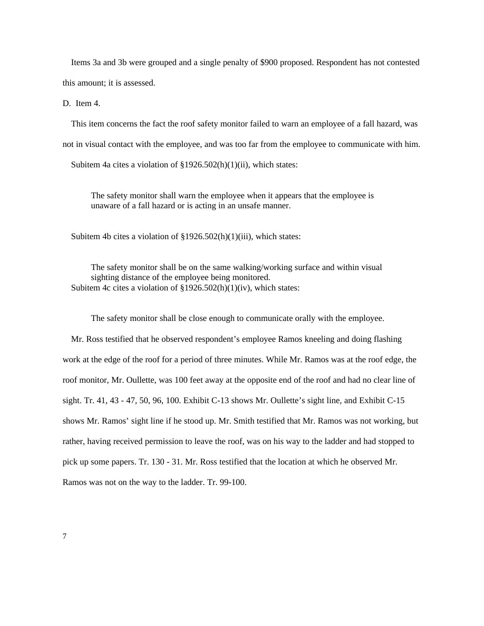Items 3a and 3b were grouped and a single penalty of \$900 proposed. Respondent has not contested this amount; it is assessed.

D. Item 4.

This item concerns the fact the roof safety monitor failed to warn an employee of a fall hazard, was not in visual contact with the employee, and was too far from the employee to communicate with him.

Subitem 4a cites a violation of §1926.502(h)(1)(ii), which states:

The safety monitor shall warn the employee when it appears that the employee is unaware of a fall hazard or is acting in an unsafe manner.

Subitem 4b cites a violation of §1926.502(h)(1)(iii), which states:

The safety monitor shall be on the same walking/working surface and within visual sighting distance of the employee being monitored. Subitem 4c cites a violation of  $\S 1926.502(h)(1)(iv)$ , which states:

The safety monitor shall be close enough to communicate orally with the employee.

Mr. Ross testified that he observed respondent's employee Ramos kneeling and doing flashing work at the edge of the roof for a period of three minutes. While Mr. Ramos was at the roof edge, the roof monitor, Mr. Oullette, was 100 feet away at the opposite end of the roof and had no clear line of sight. Tr. 41, 43 - 47, 50, 96, 100. Exhibit C-13 shows Mr. Oullette's sight line, and Exhibit C-15 shows Mr. Ramos' sight line if he stood up. Mr. Smith testified that Mr. Ramos was not working, but rather, having received permission to leave the roof, was on his way to the ladder and had stopped to pick up some papers. Tr. 130 - 31. Mr. Ross testified that the location at which he observed Mr. Ramos was not on the way to the ladder. Tr. 99-100.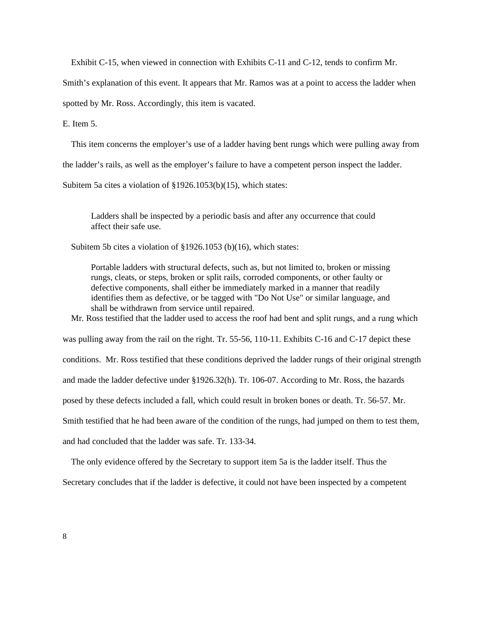Exhibit C-15, when viewed in connection with Exhibits C-11 and C-12, tends to confirm Mr.

Smith's explanation of this event. It appears that Mr. Ramos was at a point to access the ladder when

spotted by Mr. Ross. Accordingly, this item is vacated.

E. Item 5.

This item concerns the employer's use of a ladder having bent rungs which were pulling away from

the ladder's rails, as well as the employer's failure to have a competent person inspect the ladder.

Subitem 5a cites a violation of §1926.1053(b)(15), which states:

Ladders shall be inspected by a periodic basis and after any occurrence that could affect their safe use.

Subitem 5b cites a violation of §1926.1053 (b)(16), which states:

Portable ladders with structural defects, such as, but not limited to, broken or missing rungs, cleats, or steps, broken or split rails, corroded components, or other faulty or defective components, shall either be immediately marked in a manner that readily identifies them as defective, or be tagged with "Do Not Use" or similar language, and shall be withdrawn from service until repaired.

Mr. Ross testified that the ladder used to access the roof had bent and split rungs, and a rung which

was pulling away from the rail on the right. Tr. 55-56, 110-11. Exhibits C-16 and C-17 depict these conditions. Mr. Ross testified that these conditions deprived the ladder rungs of their original strength and made the ladder defective under §1926.32(h). Tr. 106-07. According to Mr. Ross, the hazards posed by these defects included a fall, which could result in broken bones or death. Tr. 56-57. Mr. Smith testified that he had been aware of the condition of the rungs, had jumped on them to test them, and had concluded that the ladder was safe. Tr. 133-34.

The only evidence offered by the Secretary to support item 5a is the ladder itself. Thus the

Secretary concludes that if the ladder is defective, it could not have been inspected by a competent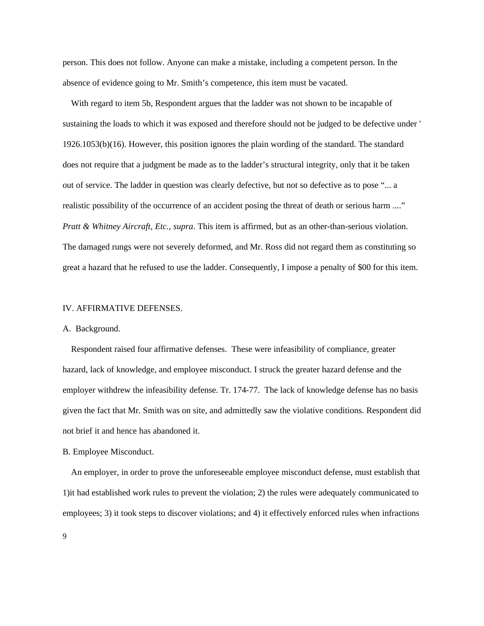person. This does not follow. Anyone can make a mistake, including a competent person. In the absence of evidence going to Mr. Smith's competence, this item must be vacated.

With regard to item 5b, Respondent argues that the ladder was not shown to be incapable of sustaining the loads to which it was exposed and therefore should not be judged to be defective under ' 1926.1053(b)(16). However, this position ignores the plain wording of the standard. The standard does not require that a judgment be made as to the ladder's structural integrity, only that it be taken out of service. The ladder in question was clearly defective, but not so defective as to pose "... a realistic possibility of the occurrence of an accident posing the threat of death or serious harm ...." *Pratt & Whitney Aircraft, Etc., supra*. This item is affirmed, but as an other-than-serious violation. The damaged rungs were not severely deformed, and Mr. Ross did not regard them as constituting so great a hazard that he refused to use the ladder. Consequently, I impose a penalty of \$00 for this item.

#### IV. AFFIRMATIVE DEFENSES.

### A. Background.

Respondent raised four affirmative defenses. These were infeasibility of compliance, greater hazard, lack of knowledge, and employee misconduct. I struck the greater hazard defense and the employer withdrew the infeasibility defense. Tr. 174-77. The lack of knowledge defense has no basis given the fact that Mr. Smith was on site, and admittedly saw the violative conditions. Respondent did not brief it and hence has abandoned it.

# B. Employee Misconduct.

An employer, in order to prove the unforeseeable employee misconduct defense, must establish that 1)it had established work rules to prevent the violation; 2) the rules were adequately communicated to employees; 3) it took steps to discover violations; and 4) it effectively enforced rules when infractions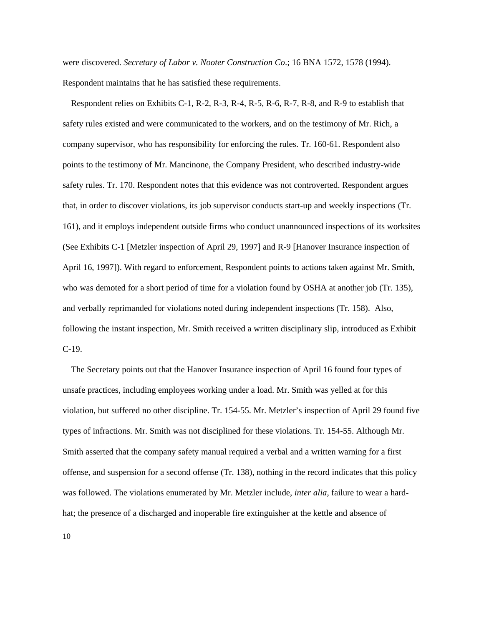were discovered. *Secretary of Labor v. Nooter Construction Co*.; 16 BNA 1572, 1578 (1994). Respondent maintains that he has satisfied these requirements.

Respondent relies on Exhibits C-1, R-2, R-3, R-4, R-5, R-6, R-7, R-8, and R-9 to establish that safety rules existed and were communicated to the workers, and on the testimony of Mr. Rich, a company supervisor, who has responsibility for enforcing the rules. Tr. 160-61. Respondent also points to the testimony of Mr. Mancinone, the Company President, who described industry-wide safety rules. Tr. 170. Respondent notes that this evidence was not controverted. Respondent argues that, in order to discover violations, its job supervisor conducts start-up and weekly inspections (Tr. 161), and it employs independent outside firms who conduct unannounced inspections of its worksites (See Exhibits C-1 [Metzler inspection of April 29, 1997] and R-9 [Hanover Insurance inspection of April 16, 1997]). With regard to enforcement, Respondent points to actions taken against Mr. Smith, who was demoted for a short period of time for a violation found by OSHA at another job (Tr. 135), and verbally reprimanded for violations noted during independent inspections (Tr. 158). Also, following the instant inspection, Mr. Smith received a written disciplinary slip, introduced as Exhibit C-19.

The Secretary points out that the Hanover Insurance inspection of April 16 found four types of unsafe practices, including employees working under a load. Mr. Smith was yelled at for this violation, but suffered no other discipline. Tr. 154-55. Mr. Metzler's inspection of April 29 found five types of infractions. Mr. Smith was not disciplined for these violations. Tr. 154-55. Although Mr. Smith asserted that the company safety manual required a verbal and a written warning for a first offense, and suspension for a second offense (Tr. 138), nothing in the record indicates that this policy was followed. The violations enumerated by Mr. Metzler include, *inter alia*, failure to wear a hardhat; the presence of a discharged and inoperable fire extinguisher at the kettle and absence of

10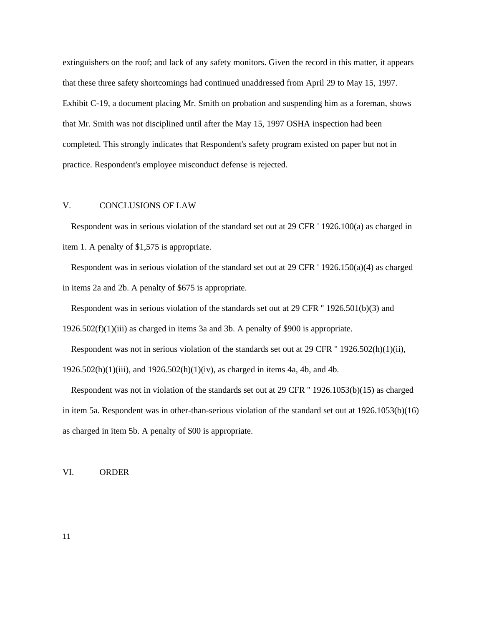extinguishers on the roof; and lack of any safety monitors. Given the record in this matter, it appears that these three safety shortcomings had continued unaddressed from April 29 to May 15, 1997. Exhibit C-19, a document placing Mr. Smith on probation and suspending him as a foreman, shows that Mr. Smith was not disciplined until after the May 15, 1997 OSHA inspection had been completed. This strongly indicates that Respondent's safety program existed on paper but not in practice. Respondent's employee misconduct defense is rejected.

## V. CONCLUSIONS OF LAW

Respondent was in serious violation of the standard set out at 29 CFR ' 1926.100(a) as charged in item 1. A penalty of \$1,575 is appropriate.

Respondent was in serious violation of the standard set out at 29 CFR ' 1926.150(a)(4) as charged in items 2a and 2b. A penalty of \$675 is appropriate.

Respondent was in serious violation of the standards set out at 29 CFR '' 1926.501(b)(3) and 1926.502(f)(1)(iii) as charged in items 3a and 3b. A penalty of \$900 is appropriate.

Respondent was not in serious violation of the standards set out at 29 CFR '' 1926.502(h)(1)(ii), 1926.502(h)(1)(iii), and 1926.502(h)(1)(iv), as charged in items 4a, 4b, and 4b.

Respondent was not in violation of the standards set out at 29 CFR '' 1926.1053(b)(15) as charged in item 5a. Respondent was in other-than-serious violation of the standard set out at 1926.1053(b)(16) as charged in item 5b. A penalty of \$00 is appropriate.

VI. ORDER

11